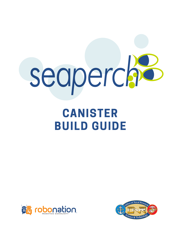

# **CANISTER BUILD GUIDE**



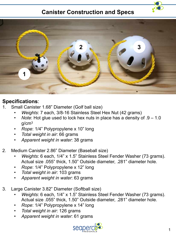## **Canister Construction and Specs**





### **Specifications**:

- 1. Small Canister 1.68" Diameter (Golf ball size)
	- *Weights*: 7 each, 3/8-16 Stainless Steel Hex Nut (42 grams)
	- *Note*: Hot glue used to lock hex nuts in place has a density of .9 1.0 g/cm3
	- *Rope*: 1/4" Polypropylene x 10" long
	- *Total weight in air*: 66 grams
	- *Apparent weight in water*: 38 grams
- 2. Medium Canister 2.86" Diameter (Baseball size)
	- *Weights*: 6 each, 1/4" x 1.5" Stainless Steel Fender Washer (73 grams). Actual size .055" thick, 1.50" Outside diameter, .281" diameter hole.
	- *Rope*: 1/4" Polypropylene x 12" long
	- *Total weight in air*: 103 grams
	- *Apparent weight in water*: 63 grams
- 3. Large Canister 3.82" Diameter (Softball size)
	- *Weights*: 6 each, 1/4" x 1.5" Stainless Steel Fender Washer (73 grams). Actual size .055" thick, 1.50" Outside diameter, .281" diameter hole.
	- *Rope*: 1/4" Polypropylene x 14" long
	- *Total weight in air*: 126 grams
	- *Apparent weight in water*: 61 grams

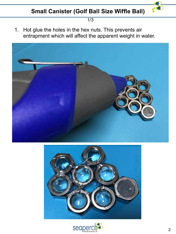

1/3

1. Hot glue the holes in the hex nuts. This prevents air entrapment which will affect the apparent weight in water.





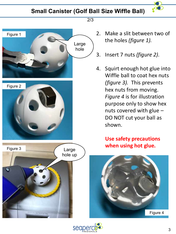# **Small Canister (Golf Ball Size Wiffle Ball)**

Large hole

Figure 1

Figure 2

Figure 3

**INCRETARY OR** 

œ,



- 2. Make a slit between two of the holes *(figure 1).*
- 3. Insert 7 nuts *(figure 2).*
- 4. Squirt enough hot glue into Wiffle ball to coat hex nuts *(figure 3).* This prevents hex nuts from moving. *Figure 4* is for illustration purpose only to show hex nuts covered with glue – DO NOT cut your ball as shown.

# **Use safety precautions Large** When using hot glue.





hole up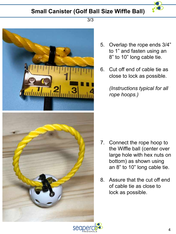# **Small Canister (Golf Ball Size Wiffle Ball)**



#### 3/3



- 5. Overlap the rope ends 3/4" to 1" and fasten using an 8" to 10" long cable tie.
- 6. Cut off end of cable tie as close to lock as possible.

*(Instructions typical for all rope hoops.)*

- 7. Connect the rope hoop to the Wiffle ball (center over large hole with hex nuts on bottom) as shown using an 8" to 10" long cable tie.
- 8. Assure that the cut off end of cable tie as close to lock as possible.

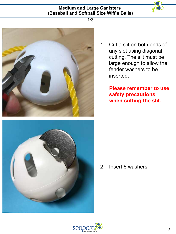#### **Medium and Large Canisters (Baseball and Softball Size Wiffle Balls)**



1/3





1. Cut a slit on both ends of any slot using diagonal cutting. The slit must be large enough to allow the fender washers to be inserted.

> **Please remember to use safety precautions when cutting the slit.**

2. Insert 6 washers.

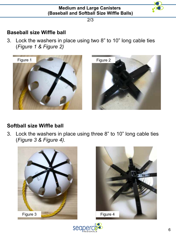

2/3

## **Baseball size Wiffle ball**

3. Lock the washers in place using two 8" to 10" long cable ties (*Figure 1 & Figure 2)*





## **Softball size Wiffle ball**

3. Lock the washers in place using three 8" to 10" long cable ties (*Figure 3 & Figure 4).*